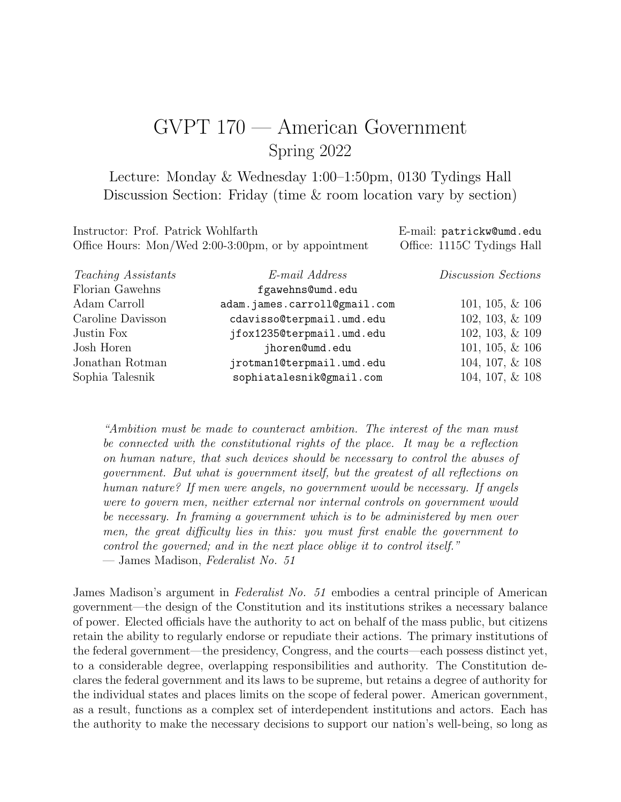# GVPT 170 — American Government Spring 2022

Lecture: Monday & Wednesday 1:00–1:50pm, 0130 Tydings Hall Discussion Section: Friday (time & room location vary by section)

| Instructor: Prof. Patrick Wohlfarth                  | E-mail: patrickw@umd.edu   |
|------------------------------------------------------|----------------------------|
| Office Hours: Mon/Wed 2:00-3:00pm, or by appointment | Office: 1115C Tydings Hall |

| <i>Teaching Assistants</i> | E-mail Address               | Discussion Sections |
|----------------------------|------------------------------|---------------------|
| Florian Gawehns            | fgawehns@umd.edu             |                     |
| Adam Carroll               | adam.james.carroll@gmail.com | $101, 105, \& 106$  |
| Caroline Davisson          | cdavisso@terpmail.umd.edu    | 102, 103, & 109     |
| Justin Fox                 | jfox1235@terpmail.umd.edu    | 102, 103, & 109     |
| Josh Horen                 | jhoren@umd.edu               | $101, 105, \& 106$  |
| Jonathan Rotman            | jrotman1@terpmail.umd.edu    | 104, 107, & 108     |
| Sophia Talesnik            | sophiatalesnik@gmail.com     | 104, 107, & 108     |

"Ambition must be made to counteract ambition. The interest of the man must be connected with the constitutional rights of the place. It may be a reflection on human nature, that such devices should be necessary to control the abuses of government. But what is government itself, but the greatest of all reflections on human nature? If men were angels, no government would be necessary. If angels were to govern men, neither external nor internal controls on government would be necessary. In framing a government which is to be administered by men over men, the great difficulty lies in this: you must first enable the government to control the governed; and in the next place oblige it to control itself." — James Madison, Federalist No. 51

James Madison's argument in *Federalist No. 51* embodies a central principle of American government—the design of the Constitution and its institutions strikes a necessary balance of power. Elected officials have the authority to act on behalf of the mass public, but citizens retain the ability to regularly endorse or repudiate their actions. The primary institutions of the federal government—the presidency, Congress, and the courts—each possess distinct yet, to a considerable degree, overlapping responsibilities and authority. The Constitution declares the federal government and its laws to be supreme, but retains a degree of authority for the individual states and places limits on the scope of federal power. American government, as a result, functions as a complex set of interdependent institutions and actors. Each has the authority to make the necessary decisions to support our nation's well-being, so long as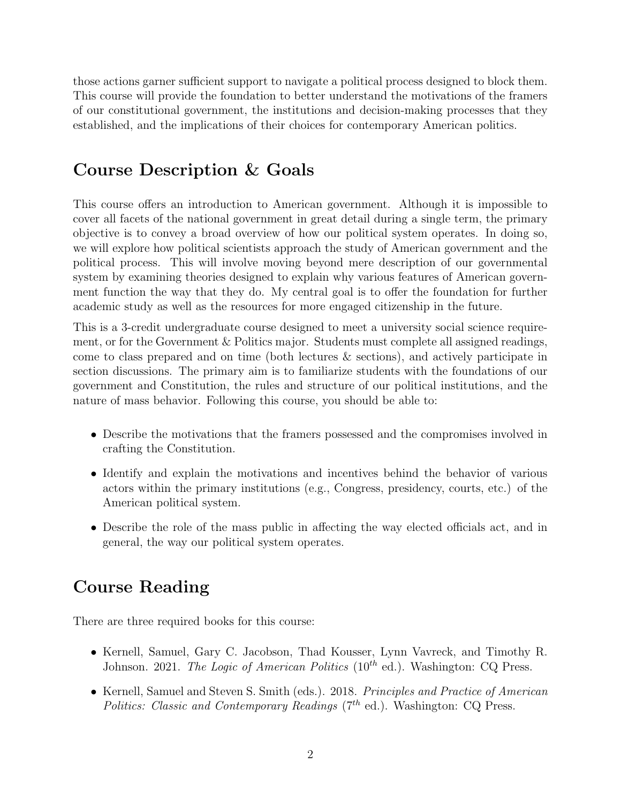those actions garner sufficient support to navigate a political process designed to block them. This course will provide the foundation to better understand the motivations of the framers of our constitutional government, the institutions and decision-making processes that they established, and the implications of their choices for contemporary American politics.

# Course Description & Goals

This course offers an introduction to American government. Although it is impossible to cover all facets of the national government in great detail during a single term, the primary objective is to convey a broad overview of how our political system operates. In doing so, we will explore how political scientists approach the study of American government and the political process. This will involve moving beyond mere description of our governmental system by examining theories designed to explain why various features of American government function the way that they do. My central goal is to offer the foundation for further academic study as well as the resources for more engaged citizenship in the future.

This is a 3-credit undergraduate course designed to meet a university social science requirement, or for the Government & Politics major. Students must complete all assigned readings, come to class prepared and on time (both lectures & sections), and actively participate in section discussions. The primary aim is to familiarize students with the foundations of our government and Constitution, the rules and structure of our political institutions, and the nature of mass behavior. Following this course, you should be able to:

- Describe the motivations that the framers possessed and the compromises involved in crafting the Constitution.
- Identify and explain the motivations and incentives behind the behavior of various actors within the primary institutions (e.g., Congress, presidency, courts, etc.) of the American political system.
- Describe the role of the mass public in affecting the way elected officials act, and in general, the way our political system operates.

# Course Reading

There are three required books for this course:

- Kernell, Samuel, Gary C. Jacobson, Thad Kousser, Lynn Vavreck, and Timothy R. Johnson. 2021. The Logic of American Politics  $(10^{th}$  ed.). Washington: CQ Press.
- Kernell, Samuel and Steven S. Smith (eds.). 2018. Principles and Practice of American Politics: Classic and Contemporary Readings  $(7<sup>th</sup>$  ed.). Washington: CQ Press.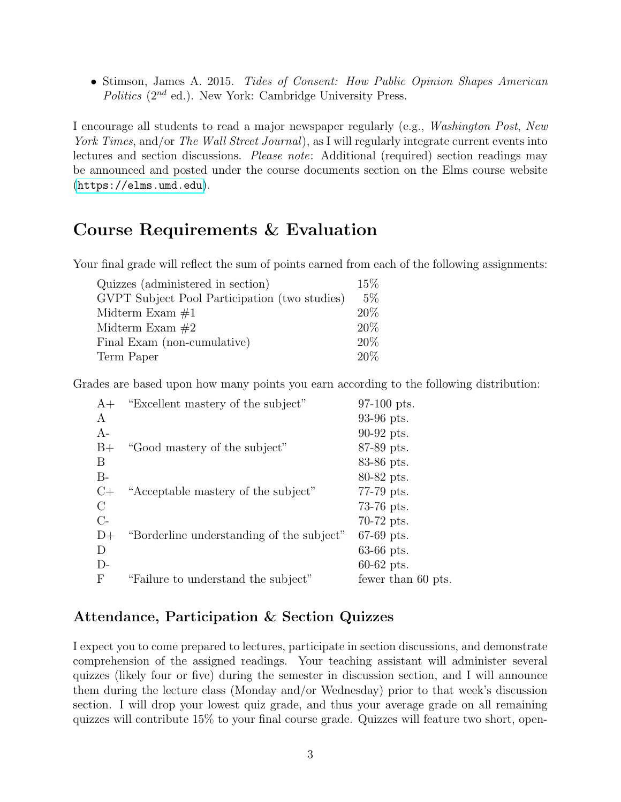• Stimson, James A. 2015. Tides of Consent: How Public Opinion Shapes American Politics  $(2^{nd}$  ed.). New York: Cambridge University Press.

I encourage all students to read a major newspaper regularly (e.g., Washington Post, New York Times, and/or The Wall Street Journal), as I will regularly integrate current events into lectures and section discussions. Please note: Additional (required) section readings may be announced and posted under the course documents section on the Elms course website (<https://elms.umd.edu>).

# Course Requirements & Evaluation

Your final grade will reflect the sum of points earned from each of the following assignments:

| Quizzes (administered in section)             | 15%   |
|-----------------------------------------------|-------|
| GVPT Subject Pool Participation (two studies) | $5\%$ |
| Midterm Exam $\#1$                            | 20%   |
| Midterm Exam $#2$                             | 20%   |
| Final Exam (non-cumulative)                   | 20%   |
| Term Paper                                    | 20%   |

Grades are based upon how many points you earn according to the following distribution:

| $A+$       | "Excellent mastery of the subject"        | 97-100 pts.        |
|------------|-------------------------------------------|--------------------|
| A          |                                           | 93-96 pts.         |
| $A-$       |                                           | 90-92 pts.         |
| $B+$       | "Good mastery of the subject"             | 87-89 pts.         |
| B          |                                           | 83-86 pts.         |
| $B-$       |                                           | 80-82 pts.         |
| $C+$       | "Acceptable mastery of the subject"       | 77-79 pts.         |
| C          |                                           | $73-76$ pts.       |
| $C-$       |                                           | $70-72$ pts.       |
| $D+$       | "Borderline understanding of the subject" | $67-69$ pts.       |
| D          |                                           | $63-66$ pts.       |
| $D-$       |                                           | $60-62$ pts.       |
| $_{\rm F}$ | "Failure to understand the subject"       | fewer than 60 pts. |
|            |                                           |                    |

## Attendance, Participation & Section Quizzes

I expect you to come prepared to lectures, participate in section discussions, and demonstrate comprehension of the assigned readings. Your teaching assistant will administer several quizzes (likely four or five) during the semester in discussion section, and I will announce them during the lecture class (Monday and/or Wednesday) prior to that week's discussion section. I will drop your lowest quiz grade, and thus your average grade on all remaining quizzes will contribute 15% to your final course grade. Quizzes will feature two short, open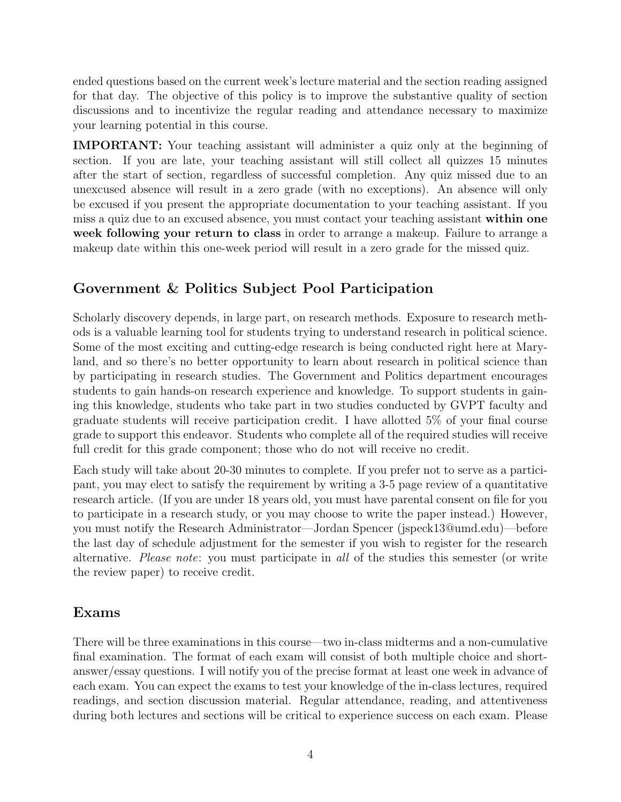ended questions based on the current week's lecture material and the section reading assigned for that day. The objective of this policy is to improve the substantive quality of section discussions and to incentivize the regular reading and attendance necessary to maximize your learning potential in this course.

IMPORTANT: Your teaching assistant will administer a quiz only at the beginning of section. If you are late, your teaching assistant will still collect all quizzes 15 minutes after the start of section, regardless of successful completion. Any quiz missed due to an unexcused absence will result in a zero grade (with no exceptions). An absence will only be excused if you present the appropriate documentation to your teaching assistant. If you miss a quiz due to an excused absence, you must contact your teaching assistant within one week following your return to class in order to arrange a makeup. Failure to arrange a makeup date within this one-week period will result in a zero grade for the missed quiz.

## Government & Politics Subject Pool Participation

Scholarly discovery depends, in large part, on research methods. Exposure to research methods is a valuable learning tool for students trying to understand research in political science. Some of the most exciting and cutting-edge research is being conducted right here at Maryland, and so there's no better opportunity to learn about research in political science than by participating in research studies. The Government and Politics department encourages students to gain hands-on research experience and knowledge. To support students in gaining this knowledge, students who take part in two studies conducted by GVPT faculty and graduate students will receive participation credit. I have allotted 5% of your final course grade to support this endeavor. Students who complete all of the required studies will receive full credit for this grade component; those who do not will receive no credit.

Each study will take about 20-30 minutes to complete. If you prefer not to serve as a participant, you may elect to satisfy the requirement by writing a 3-5 page review of a quantitative research article. (If you are under 18 years old, you must have parental consent on file for you to participate in a research study, or you may choose to write the paper instead.) However, you must notify the Research Administrator—Jordan Spencer (jspeck13@umd.edu)—before the last day of schedule adjustment for the semester if you wish to register for the research alternative. Please note: you must participate in all of the studies this semester (or write the review paper) to receive credit.

## Exams

There will be three examinations in this course—two in-class midterms and a non-cumulative final examination. The format of each exam will consist of both multiple choice and shortanswer/essay questions. I will notify you of the precise format at least one week in advance of each exam. You can expect the exams to test your knowledge of the in-class lectures, required readings, and section discussion material. Regular attendance, reading, and attentiveness during both lectures and sections will be critical to experience success on each exam. Please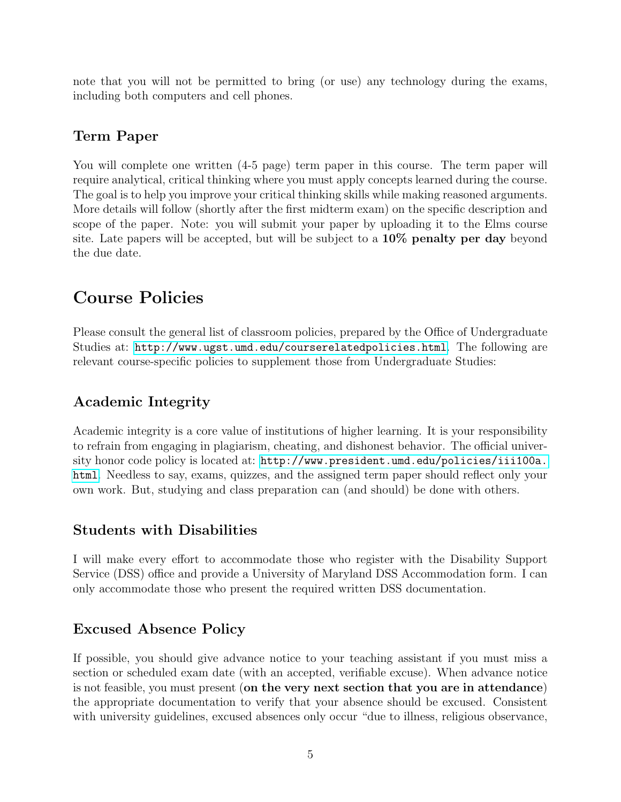note that you will not be permitted to bring (or use) any technology during the exams, including both computers and cell phones.

## Term Paper

You will complete one written  $(4-5$  page) term paper in this course. The term paper will require analytical, critical thinking where you must apply concepts learned during the course. The goal is to help you improve your critical thinking skills while making reasoned arguments. More details will follow (shortly after the first midterm exam) on the specific description and scope of the paper. Note: you will submit your paper by uploading it to the Elms course site. Late papers will be accepted, but will be subject to a 10% penalty per day beyond the due date.

# Course Policies

Please consult the general list of classroom policies, prepared by the Office of Undergraduate Studies at: <http://www.ugst.umd.edu/courserelatedpolicies.html>. The following are relevant course-specific policies to supplement those from Undergraduate Studies:

## Academic Integrity

Academic integrity is a core value of institutions of higher learning. It is your responsibility to refrain from engaging in plagiarism, cheating, and dishonest behavior. The official university honor code policy is located at: [http://www.president.umd.edu/policies/iii100a.](http://www.president.umd.edu/policies/iii100a.html) [html](http://www.president.umd.edu/policies/iii100a.html). Needless to say, exams, quizzes, and the assigned term paper should reflect only your own work. But, studying and class preparation can (and should) be done with others.

## Students with Disabilities

I will make every effort to accommodate those who register with the Disability Support Service (DSS) office and provide a University of Maryland DSS Accommodation form. I can only accommodate those who present the required written DSS documentation.

## Excused Absence Policy

If possible, you should give advance notice to your teaching assistant if you must miss a section or scheduled exam date (with an accepted, verifiable excuse). When advance notice is not feasible, you must present (on the very next section that you are in attendance) the appropriate documentation to verify that your absence should be excused. Consistent with university guidelines, excused absences only occur "due to illness, religious observance,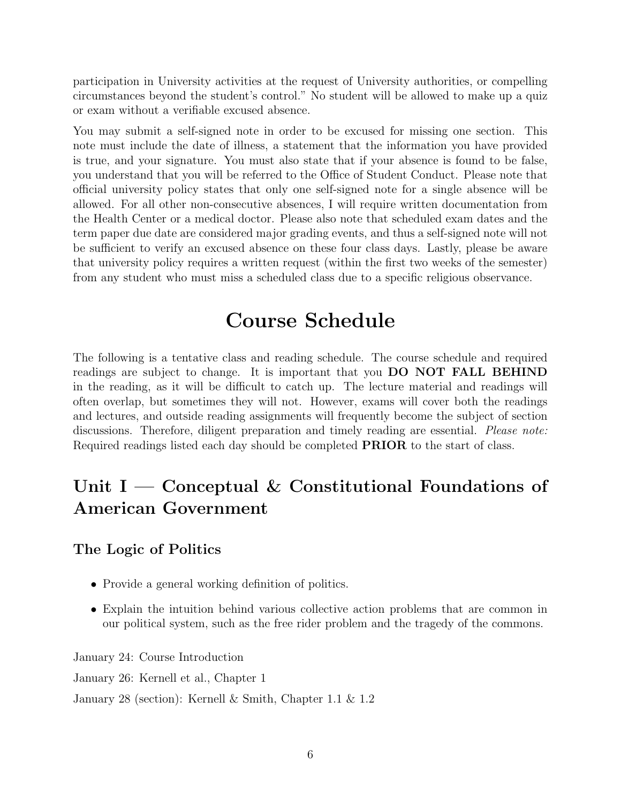participation in University activities at the request of University authorities, or compelling circumstances beyond the student's control." No student will be allowed to make up a quiz or exam without a verifiable excused absence.

You may submit a self-signed note in order to be excused for missing one section. This note must include the date of illness, a statement that the information you have provided is true, and your signature. You must also state that if your absence is found to be false, you understand that you will be referred to the Office of Student Conduct. Please note that official university policy states that only one self-signed note for a single absence will be allowed. For all other non-consecutive absences, I will require written documentation from the Health Center or a medical doctor. Please also note that scheduled exam dates and the term paper due date are considered major grading events, and thus a self-signed note will not be sufficient to verify an excused absence on these four class days. Lastly, please be aware that university policy requires a written request (within the first two weeks of the semester) from any student who must miss a scheduled class due to a specific religious observance.

# Course Schedule

The following is a tentative class and reading schedule. The course schedule and required readings are subject to change. It is important that you DO NOT FALL BEHIND in the reading, as it will be difficult to catch up. The lecture material and readings will often overlap, but sometimes they will not. However, exams will cover both the readings and lectures, and outside reading assignments will frequently become the subject of section discussions. Therefore, diligent preparation and timely reading are essential. Please note: Required readings listed each day should be completed PRIOR to the start of class.

# Unit I — Conceptual & Constitutional Foundations of American Government

## The Logic of Politics

- Provide a general working definition of politics.
- Explain the intuition behind various collective action problems that are common in our political system, such as the free rider problem and the tragedy of the commons.

January 24: Course Introduction January 26: Kernell et al., Chapter 1 January 28 (section): Kernell & Smith, Chapter 1.1 & 1.2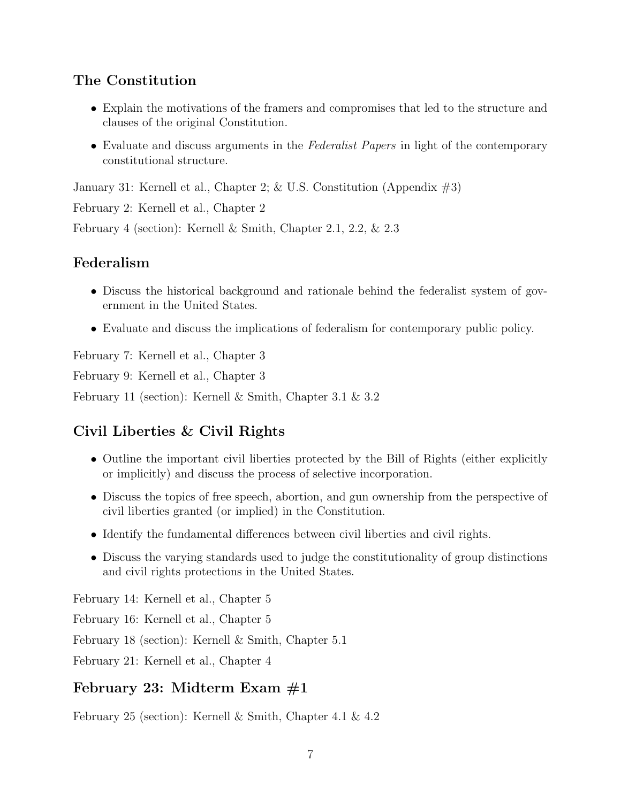## The Constitution

- Explain the motivations of the framers and compromises that led to the structure and clauses of the original Constitution.
- Evaluate and discuss arguments in the Federalist Papers in light of the contemporary constitutional structure.

January 31: Kernell et al., Chapter 2; & U.S. Constitution (Appendix #3)

February 2: Kernell et al., Chapter 2

February 4 (section): Kernell & Smith, Chapter 2.1, 2.2, & 2.3

## Federalism

- Discuss the historical background and rationale behind the federalist system of government in the United States.
- Evaluate and discuss the implications of federalism for contemporary public policy.

February 7: Kernell et al., Chapter 3

February 9: Kernell et al., Chapter 3

February 11 (section): Kernell & Smith, Chapter 3.1 & 3.2

## Civil Liberties & Civil Rights

- Outline the important civil liberties protected by the Bill of Rights (either explicitly or implicitly) and discuss the process of selective incorporation.
- Discuss the topics of free speech, abortion, and gun ownership from the perspective of civil liberties granted (or implied) in the Constitution.
- Identify the fundamental differences between civil liberties and civil rights.
- Discuss the varying standards used to judge the constitutionality of group distinctions and civil rights protections in the United States.

February 14: Kernell et al., Chapter 5 February 16: Kernell et al., Chapter 5 February 18 (section): Kernell & Smith, Chapter 5.1

February 21: Kernell et al., Chapter 4

## February 23: Midterm Exam  $#1$

February 25 (section): Kernell & Smith, Chapter 4.1 & 4.2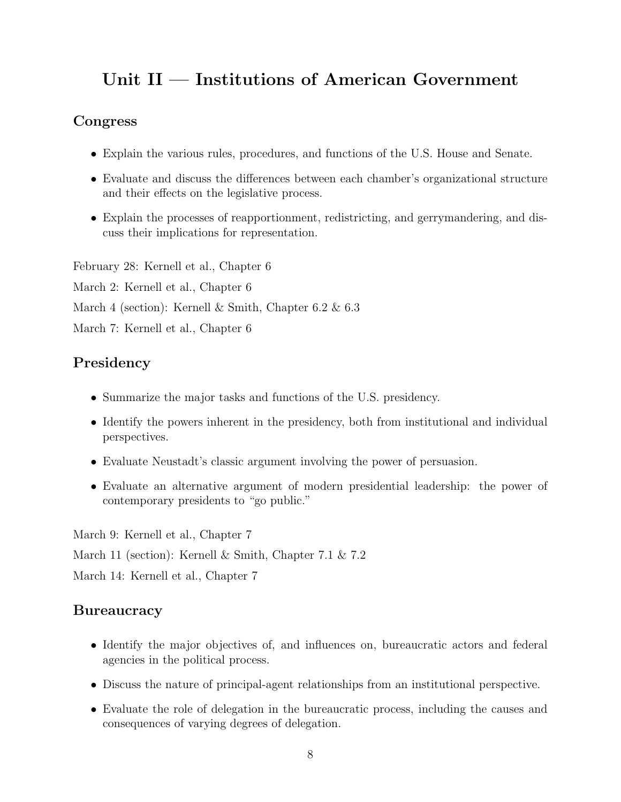# Unit II — Institutions of American Government

#### Congress

- Explain the various rules, procedures, and functions of the U.S. House and Senate.
- Evaluate and discuss the differences between each chamber's organizational structure and their effects on the legislative process.
- Explain the processes of reapportionment, redistricting, and gerrymandering, and discuss their implications for representation.

February 28: Kernell et al., Chapter 6 March 2: Kernell et al., Chapter 6 March 4 (section): Kernell & Smith, Chapter 6.2 & 6.3 March 7: Kernell et al., Chapter 6

## Presidency

- Summarize the major tasks and functions of the U.S. presidency.
- Identify the powers inherent in the presidency, both from institutional and individual perspectives.
- Evaluate Neustadt's classic argument involving the power of persuasion.
- Evaluate an alternative argument of modern presidential leadership: the power of contemporary presidents to "go public."

March 9: Kernell et al., Chapter 7 March 11 (section): Kernell & Smith, Chapter 7.1 & 7.2 March 14: Kernell et al., Chapter 7

## **Bureaucracy**

- Identify the major objectives of, and influences on, bureaucratic actors and federal agencies in the political process.
- Discuss the nature of principal-agent relationships from an institutional perspective.
- Evaluate the role of delegation in the bureaucratic process, including the causes and consequences of varying degrees of delegation.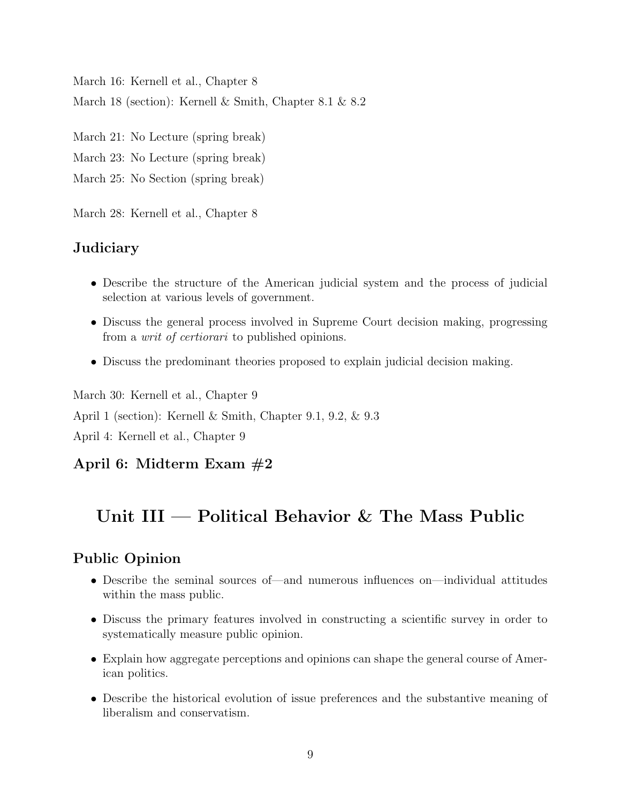March 16: Kernell et al., Chapter 8 March 18 (section): Kernell & Smith, Chapter 8.1 & 8.2

March 21: No Lecture (spring break) March 23: No Lecture (spring break)

March 25: No Section (spring break)

March 28: Kernell et al., Chapter 8

## **Judiciary**

- Describe the structure of the American judicial system and the process of judicial selection at various levels of government.
- Discuss the general process involved in Supreme Court decision making, progressing from a writ of certiorari to published opinions.
- Discuss the predominant theories proposed to explain judicial decision making.

March 30: Kernell et al., Chapter 9 April 1 (section): Kernell & Smith, Chapter 9.1, 9.2, & 9.3 April 4: Kernell et al., Chapter 9

## April 6: Midterm Exam #2

# Unit III — Political Behavior & The Mass Public

## Public Opinion

- Describe the seminal sources of—and numerous influences on—individual attitudes within the mass public.
- Discuss the primary features involved in constructing a scientific survey in order to systematically measure public opinion.
- Explain how aggregate perceptions and opinions can shape the general course of American politics.
- Describe the historical evolution of issue preferences and the substantive meaning of liberalism and conservatism.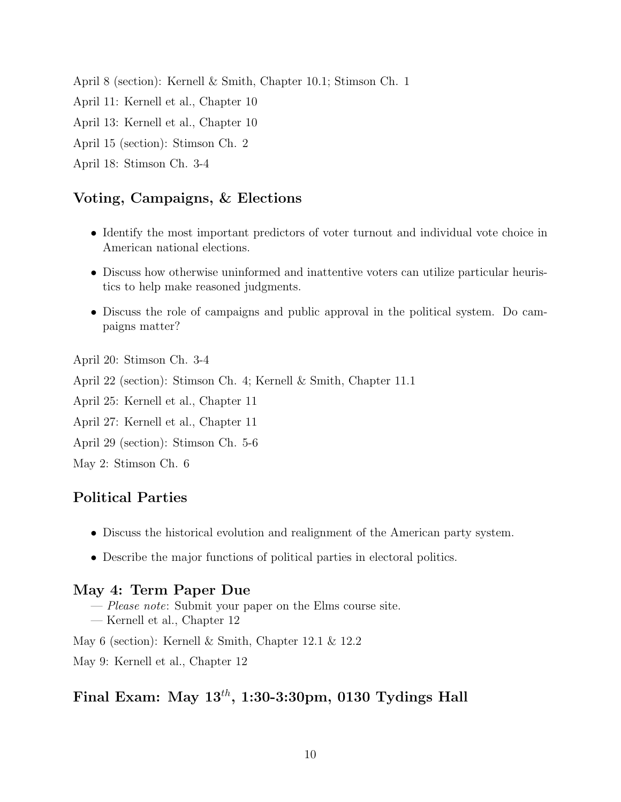April 8 (section): Kernell & Smith, Chapter 10.1; Stimson Ch. 1 April 11: Kernell et al., Chapter 10 April 13: Kernell et al., Chapter 10 April 15 (section): Stimson Ch. 2 April 18: Stimson Ch. 3-4

#### Voting, Campaigns, & Elections

- Identify the most important predictors of voter turnout and individual vote choice in American national elections.
- Discuss how otherwise uninformed and inattentive voters can utilize particular heuristics to help make reasoned judgments.
- Discuss the role of campaigns and public approval in the political system. Do campaigns matter?

April 20: Stimson Ch. 3-4

April 22 (section): Stimson Ch. 4; Kernell & Smith, Chapter 11.1

April 25: Kernell et al., Chapter 11

April 27: Kernell et al., Chapter 11

April 29 (section): Stimson Ch. 5-6

May 2: Stimson Ch. 6

## Political Parties

- Discuss the historical evolution and realignment of the American party system.
- Describe the major functions of political parties in electoral politics.

#### May 4: Term Paper Due

- Please note: Submit your paper on the Elms course site.
- Kernell et al., Chapter 12

May 6 (section): Kernell & Smith, Chapter 12.1 & 12.2

May 9: Kernell et al., Chapter 12

#### Final Exam: May  $13^{th}$ , 1:30-3:30pm, 0130 Tydings Hall